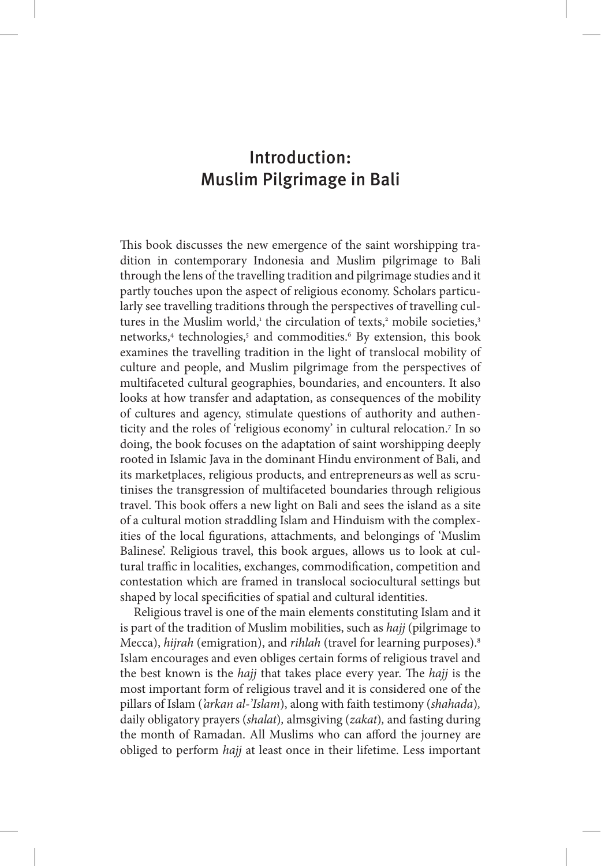# Introduction: Muslim Pilgrimage in Bali

This book discusses the new emergence of the saint worshipping tradition in contemporary Indonesia and Muslim pilgrimage to Bali through the lens of the travelling tradition and pilgrimage studies and it partly touches upon the aspect of religious economy. Scholars particularly see travelling traditions through the perspectives of travelling cultures in the Muslim world,<sup>1</sup> the circulation of texts,<sup>2</sup> mobile societies,<sup>3</sup> networks,<sup>4</sup> technologies,<sup>5</sup> and commodities.<sup>6</sup> By extension, this book examines the travelling tradition in the light of translocal mobility of culture and people, and Muslim pilgrimage from the perspectives of multifaceted cultural geographies, boundaries, and encounters. It also looks at how transfer and adaptation, as consequences of the mobility of cultures and agency, stimulate questions of authority and authenticity and the roles of 'religious economy' in cultural relocation.7 In so doing, the book focuses on the adaptation of saint worshipping deeply rooted in Islamic Java in the dominant Hindu environment of Bali, and its marketplaces, religious products, and entrepreneurs as well as scrutinises the transgression of multifaceted boundaries through religious travel. This book offers a new light on Bali and sees the island as a site of a cultural motion straddling Islam and Hinduism with the complexities of the local figurations, attachments, and belongings of 'Muslim Balinese'. Religious travel, this book argues, allows us to look at cultural traffic in localities, exchanges, commodification, competition and contestation which are framed in translocal sociocultural settings but shaped by local specificities of spatial and cultural identities.

Religious travel is one of the main elements constituting Islam and it is part of the tradition of Muslim mobilities, such as *hajj* (pilgrimage to Mecca), *hijrah* (emigration), and *rihlah* (travel for learning purposes).8 Islam encourages and even obliges certain forms of religious travel and the best known is the *hajj* that takes place every year. The *hajj* is the most important form of religious travel and it is considered one of the pillars of Islam (*'arkan al-'Islam*), along with faith testimony (*shahada*)*,*  daily obligatory prayers (*shalat*)*,* almsgiving (*zakat*)*,* and fasting during the month of Ramadan. All Muslims who can afford the journey are obliged to perform *hajj* at least once in their lifetime. Less important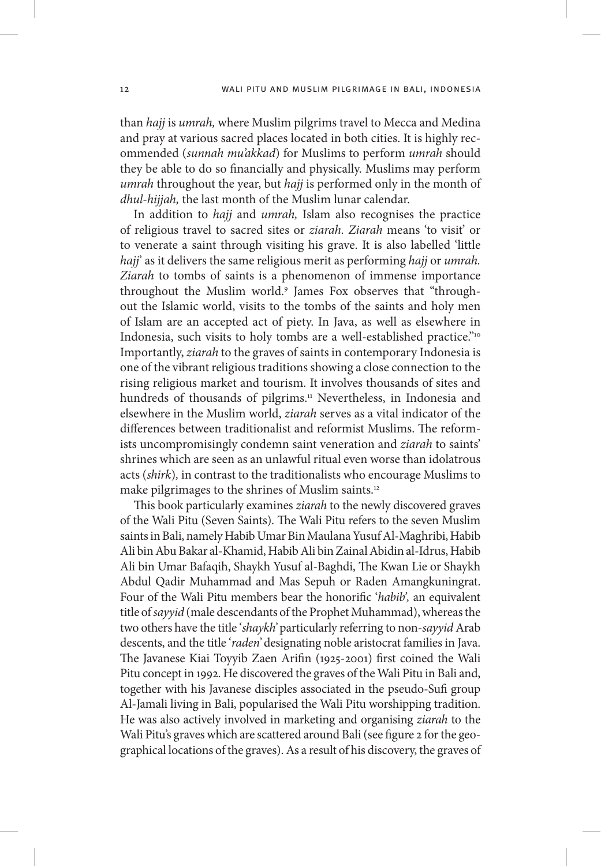than *hajj* is *umrah,* where Muslim pilgrims travel to Mecca and Medina and pray at various sacred places located in both cities. It is highly recommended (*sunnah mu'akkad*) for Muslims to perform *umrah* should they be able to do so financially and physically. Muslims may perform *umrah* throughout the year, but *hajj* is performed only in the month of *dhul-hijjah,* the last month of the Muslim lunar calendar.

In addition to *hajj* and *umrah,* Islam also recognises the practice of religious travel to sacred sites or *ziarah. Ziarah* means 'to visit' or to venerate a saint through visiting his grave. It is also labelled 'little *hajj*' as it delivers the same religious merit as performing *hajj* or *umrah. Ziarah* to tombs of saints is a phenomenon of immense importance throughout the Muslim world.9 James Fox observes that "throughout the Islamic world, visits to the tombs of the saints and holy men of Islam are an accepted act of piety. In Java, as well as elsewhere in Indonesia, such visits to holy tombs are a well-established practice."10 Importantly, *ziarah* to the graves of saints in contemporary Indonesia is one of the vibrant religious traditions showing a close connection to the rising religious market and tourism. It involves thousands of sites and hundreds of thousands of pilgrims.<sup>11</sup> Nevertheless, in Indonesia and elsewhere in the Muslim world, *ziarah* serves as a vital indicator of the differences between traditionalist and reformist Muslims. The reformists uncompromisingly condemn saint veneration and *ziarah* to saints' shrines which are seen as an unlawful ritual even worse than idolatrous acts (*shirk*)*,* in contrast to the traditionalists who encourage Muslims to make pilgrimages to the shrines of Muslim saints.<sup>12</sup>

This book particularly examines *ziarah* to the newly discovered graves of the Wali Pitu (Seven Saints). The Wali Pitu refers to the seven Muslim saints in Bali, namely Habib Umar Bin Maulana Yusuf Al-Maghribi, Habib Ali bin Abu Bakar al-Khamid, Habib Ali bin Zainal Abidin al-Idrus, Habib Ali bin Umar Bafaqih, Shaykh Yusuf al-Baghdi, The Kwan Lie or Shaykh Abdul Qadir Muhammad and Mas Sepuh or Raden Amangkuningrat. Four of the Wali Pitu members bear the honorific '*habib',* an equivalent title of *sayyid* (male descendants of the Prophet Muhammad), whereas the two others have the title '*shaykh'* particularly referring to non-*sayyid* Arab descents, and the title '*raden'* designating noble aristocrat families in Java. The Javanese Kiai Toyyib Zaen Arifin (1925-2001) first coined the Wali Pitu concept in 1992. He discovered the graves of the Wali Pitu in Bali and, together with his Javanese disciples associated in the pseudo-Sufi group Al-Jamali living in Bali, popularised the Wali Pitu worshipping tradition. He was also actively involved in marketing and organising *ziarah* to the Wali Pitu's graves which are scattered around Bali (see figure 2 for the geographical locations of the graves). As a result of his discovery, the graves of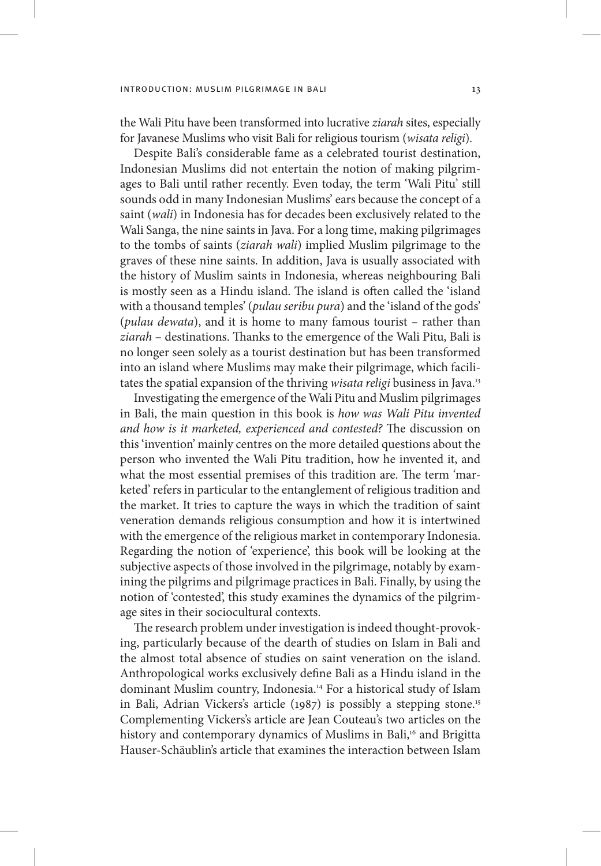the Wali Pitu have been transformed into lucrative *ziarah* sites, especially for Javanese Muslims who visit Bali for religious tourism (*wisata religi*).

Despite Bali's considerable fame as a celebrated tourist destination, Indonesian Muslims did not entertain the notion of making pilgrimages to Bali until rather recently. Even today, the term 'Wali Pitu' still sounds odd in many Indonesian Muslims' ears because the concept of a saint (*wali*) in Indonesia has for decades been exclusively related to the Wali Sanga, the nine saints in Java. For a long time, making pilgrimages to the tombs of saints (*ziarah wali*) implied Muslim pilgrimage to the graves of these nine saints. In addition, Java is usually associated with the history of Muslim saints in Indonesia, whereas neighbouring Bali is mostly seen as a Hindu island. The island is often called the 'island with a thousand temples' (*pulau seribu pura*) and the 'island of the gods' (*pulau dewata*), and it is home to many famous tourist – rather than *ziarah* – destinations. Thanks to the emergence of the Wali Pitu, Bali is no longer seen solely as a tourist destination but has been transformed into an island where Muslims may make their pilgrimage, which facilitates the spatial expansion of the thriving *wisata religi* business in Java.13

Investigating the emergence of the Wali Pitu and Muslim pilgrimages in Bali, the main question in this book is *how was Wali Pitu invented and how is it marketed, experienced and contested?* The discussion on this 'invention' mainly centres on the more detailed questions about the person who invented the Wali Pitu tradition, how he invented it, and what the most essential premises of this tradition are. The term 'marketed' refers in particular to the entanglement of religious tradition and the market. It tries to capture the ways in which the tradition of saint veneration demands religious consumption and how it is intertwined with the emergence of the religious market in contemporary Indonesia. Regarding the notion of 'experience', this book will be looking at the subjective aspects of those involved in the pilgrimage, notably by examining the pilgrims and pilgrimage practices in Bali. Finally, by using the notion of 'contested', this study examines the dynamics of the pilgrimage sites in their sociocultural contexts.

The research problem under investigation is indeed thought-provoking, particularly because of the dearth of studies on Islam in Bali and the almost total absence of studies on saint veneration on the island. Anthropological works exclusively define Bali as a Hindu island in the dominant Muslim country, Indonesia.14 For a historical study of Islam in Bali, Adrian Vickers's article (1987) is possibly a stepping stone.15 Complementing Vickers's article are Jean Couteau's two articles on the history and contemporary dynamics of Muslims in Bali,<sup>16</sup> and Brigitta Hauser-Schäublin's article that examines the interaction between Islam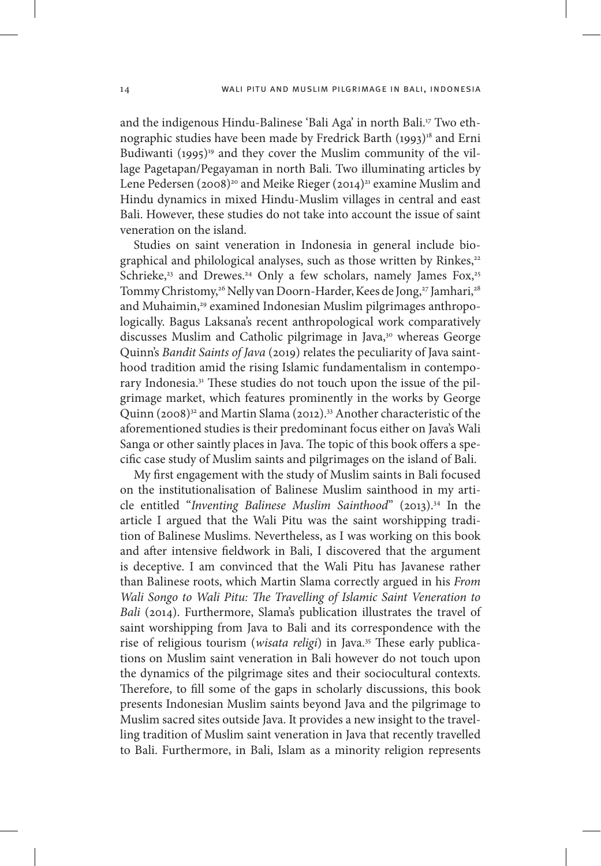and the indigenous Hindu-Balinese 'Bali Aga' in north Bali.<sup>17</sup> Two ethnographic studies have been made by Fredrick Barth (1993)<sup>18</sup> and Erni Budiwanti (1995)<sup>19</sup> and they cover the Muslim community of the village Pagetapan/Pegayaman in north Bali. Two illuminating articles by Lene Pedersen (2008)<sup>20</sup> and Meike Rieger (2014)<sup>21</sup> examine Muslim and Hindu dynamics in mixed Hindu-Muslim villages in central and east Bali. However, these studies do not take into account the issue of saint veneration on the island.

Studies on saint veneration in Indonesia in general include biographical and philological analyses, such as those written by Rinkes,<sup>22</sup> Schrieke,<sup>23</sup> and Drewes.<sup>24</sup> Only a few scholars, namely James Fox,<sup>25</sup> Tommy Christomy,<sup>26</sup> Nelly van Doorn-Harder, Kees de Jong,<sup>27</sup> Jamhari,<sup>28</sup> and Muhaimin,<sup>29</sup> examined Indonesian Muslim pilgrimages anthropologically. Bagus Laksana's recent anthropological work comparatively discusses Muslim and Catholic pilgrimage in Java,<sup>30</sup> whereas George Quinn's *Bandit Saints of Java* (2019) relates the peculiarity of Java sainthood tradition amid the rising Islamic fundamentalism in contemporary Indonesia.<sup>31</sup> These studies do not touch upon the issue of the pilgrimage market, which features prominently in the works by George Quinn (2008)32 and Martin Slama (2012).33 Another characteristic of the aforementioned studies is their predominant focus either on Java's Wali Sanga or other saintly places in Java. The topic of this book offers a specific case study of Muslim saints and pilgrimages on the island of Bali.

My first engagement with the study of Muslim saints in Bali focused on the institutionalisation of Balinese Muslim sainthood in my article entitled "Inventing Balinese Muslim Sainthood" (2013).<sup>34</sup> In the article I argued that the Wali Pitu was the saint worshipping tradition of Balinese Muslims. Nevertheless, as I was working on this book and after intensive fieldwork in Bali, I discovered that the argument is deceptive. I am convinced that the Wali Pitu has Javanese rather than Balinese roots, which Martin Slama correctly argued in his *From Wali Songo to Wali Pitu: The Travelling of Islamic Saint Veneration to Bali* (2014). Furthermore, Slama's publication illustrates the travel of saint worshipping from Java to Bali and its correspondence with the rise of religious tourism (*wisata religi*) in Java.35 These early publications on Muslim saint veneration in Bali however do not touch upon the dynamics of the pilgrimage sites and their sociocultural contexts. Therefore, to fill some of the gaps in scholarly discussions, this book presents Indonesian Muslim saints beyond Java and the pilgrimage to Muslim sacred sites outside Java. It provides a new insight to the travelling tradition of Muslim saint veneration in Java that recently travelled to Bali. Furthermore, in Bali, Islam as a minority religion represents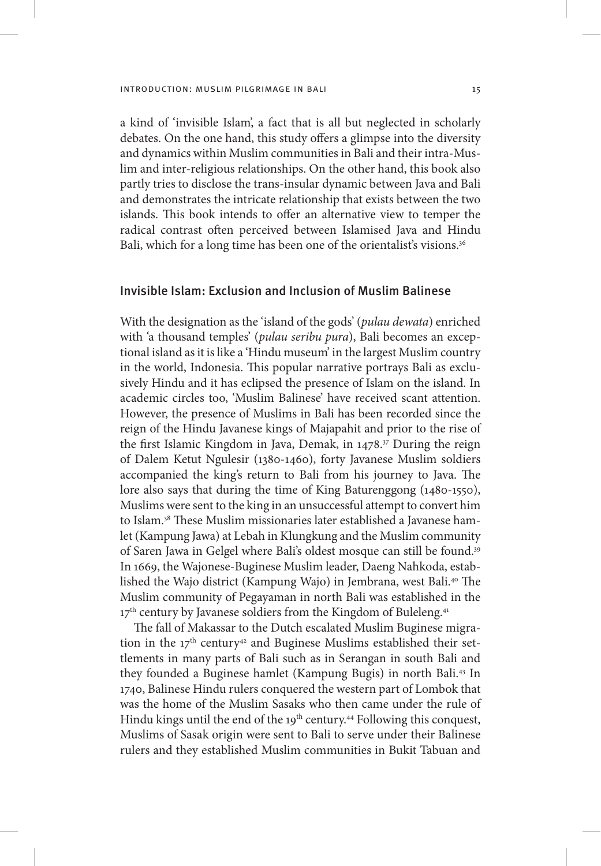a kind of 'invisible Islam', a fact that is all but neglected in scholarly debates. On the one hand, this study offers a glimpse into the diversity and dynamics within Muslim communities in Bali and their intra-Muslim and inter-religious relationships. On the other hand, this book also partly tries to disclose the trans-insular dynamic between Java and Bali and demonstrates the intricate relationship that exists between the two islands. This book intends to offer an alternative view to temper the radical contrast often perceived between Islamised Java and Hindu Bali, which for a long time has been one of the orientalist's visions.<sup>36</sup>

## Invisible Islam: Exclusion and Inclusion of Muslim Balinese

With the designation as the 'island of the gods' (*pulau dewata*) enriched with 'a thousand temples' (*pulau seribu pura*), Bali becomes an exceptional island as it is like a 'Hindu museum' in the largest Muslim country in the world, Indonesia. This popular narrative portrays Bali as exclusively Hindu and it has eclipsed the presence of Islam on the island. In academic circles too, 'Muslim Balinese' have received scant attention. However, the presence of Muslims in Bali has been recorded since the reign of the Hindu Javanese kings of Majapahit and prior to the rise of the first Islamic Kingdom in Java, Demak, in 1478.37 During the reign of Dalem Ketut Ngulesir (1380-1460), forty Javanese Muslim soldiers accompanied the king's return to Bali from his journey to Java. The lore also says that during the time of King Baturenggong (1480-1550), Muslims were sent to the king in an unsuccessful attempt to convert him to Islam.38 These Muslim missionaries later established a Javanese hamlet (Kampung Jawa) at Lebah in Klungkung and the Muslim community of Saren Jawa in Gelgel where Bali's oldest mosque can still be found.39 In 1669, the Wajonese-Buginese Muslim leader, Daeng Nahkoda, established the Wajo district (Kampung Wajo) in Jembrana, west Bali.40 The Muslim community of Pegayaman in north Bali was established in the 17<sup>th</sup> century by Javanese soldiers from the Kingdom of Buleleng.<sup>41</sup>

The fall of Makassar to the Dutch escalated Muslim Buginese migration in the  $17<sup>th</sup>$  century<sup>42</sup> and Buginese Muslims established their settlements in many parts of Bali such as in Serangan in south Bali and they founded a Buginese hamlet (Kampung Bugis) in north Bali.43 In 1740, Balinese Hindu rulers conquered the western part of Lombok that was the home of the Muslim Sasaks who then came under the rule of Hindu kings until the end of the 19<sup>th</sup> century.<sup>44</sup> Following this conquest, Muslims of Sasak origin were sent to Bali to serve under their Balinese rulers and they established Muslim communities in Bukit Tabuan and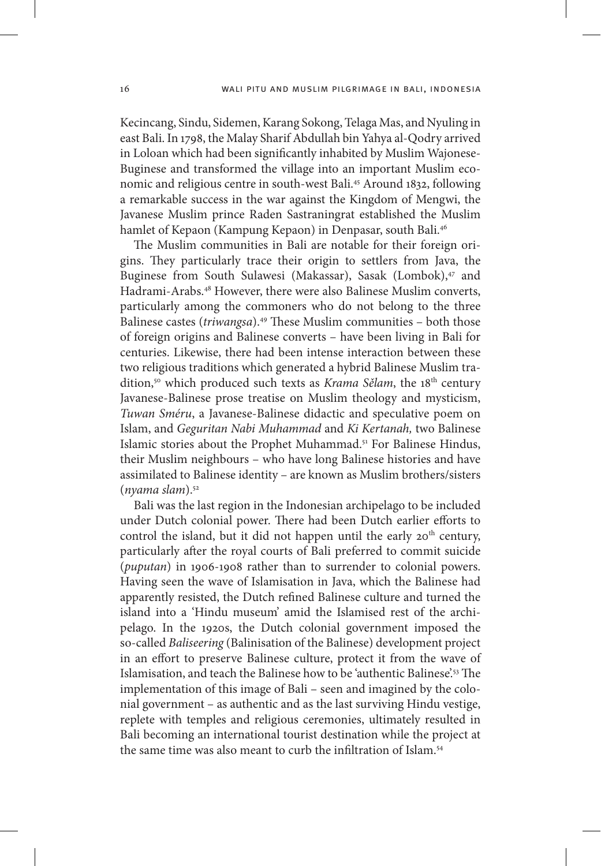Kecincang, Sindu, Sidemen, Karang Sokong, Telaga Mas, and Nyuling in east Bali. In 1798, the Malay Sharif Abdullah bin Yahya al-Qodry arrived in Loloan which had been significantly inhabited by Muslim Wajonese-Buginese and transformed the village into an important Muslim economic and religious centre in south-west Bali.45 Around 1832, following a remarkable success in the war against the Kingdom of Mengwi, the Javanese Muslim prince Raden Sastraningrat established the Muslim hamlet of Kepaon (Kampung Kepaon) in Denpasar, south Bali.46

The Muslim communities in Bali are notable for their foreign origins. They particularly trace their origin to settlers from Java, the Buginese from South Sulawesi (Makassar), Sasak (Lombok),<sup>47</sup> and Hadrami-Arabs.48 However, there were also Balinese Muslim converts, particularly among the commoners who do not belong to the three Balinese castes (*triwangsa*).49 These Muslim communities – both those of foreign origins and Balinese converts – have been living in Bali for centuries. Likewise, there had been intense interaction between these two religious traditions which generated a hybrid Balinese Muslim tradition,<sup>50</sup> which produced such texts as *Krama Sělam*, the 18<sup>th</sup> century Javanese-Balinese prose treatise on Muslim theology and mysticism, *Tuwan Sméru*, a Javanese-Balinese didactic and speculative poem on Islam, and *Geguritan Nabi Muhammad* and *Ki Kertanah,* two Balinese Islamic stories about the Prophet Muhammad.51 For Balinese Hindus, their Muslim neighbours – who have long Balinese histories and have assimilated to Balinese identity – are known as Muslim brothers/sisters (*nyama slam*).52

Bali was the last region in the Indonesian archipelago to be included under Dutch colonial power. There had been Dutch earlier efforts to control the island, but it did not happen until the early  $20<sup>th</sup>$  century, particularly after the royal courts of Bali preferred to commit suicide (*puputan*) in 1906-1908 rather than to surrender to colonial powers. Having seen the wave of Islamisation in Java, which the Balinese had apparently resisted, the Dutch refined Balinese culture and turned the island into a 'Hindu museum' amid the Islamised rest of the archipelago. In the 1920s, the Dutch colonial government imposed the so-called *Baliseering* (Balinisation of the Balinese) development project in an effort to preserve Balinese culture, protect it from the wave of Islamisation, and teach the Balinese how to be 'authentic Balinese'.53 The implementation of this image of Bali – seen and imagined by the colonial government – as authentic and as the last surviving Hindu vestige, replete with temples and religious ceremonies, ultimately resulted in Bali becoming an international tourist destination while the project at the same time was also meant to curb the infiltration of Islam<sup>54</sup>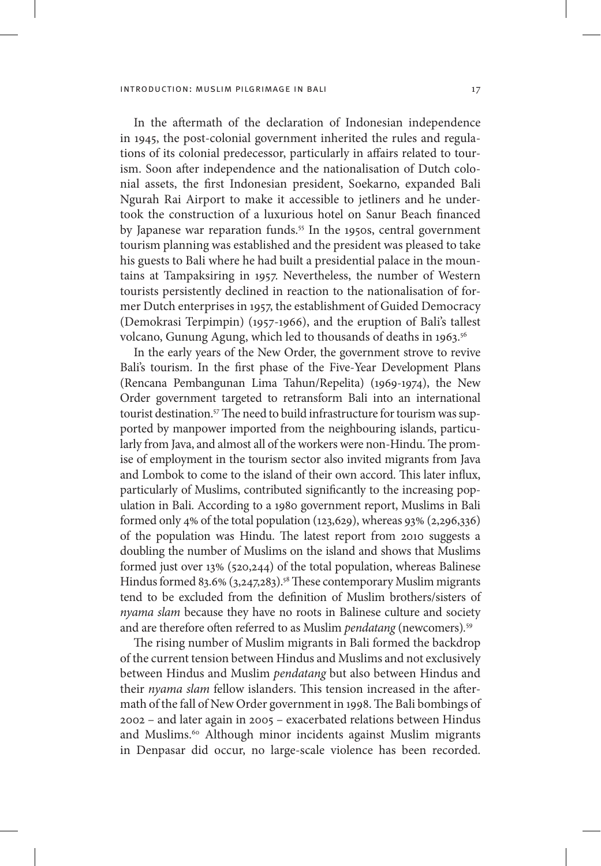In the aftermath of the declaration of Indonesian independence in 1945, the post-colonial government inherited the rules and regulations of its colonial predecessor, particularly in affairs related to tourism. Soon after independence and the nationalisation of Dutch colonial assets, the first Indonesian president, Soekarno, expanded Bali Ngurah Rai Airport to make it accessible to jetliners and he undertook the construction of a luxurious hotel on Sanur Beach financed by Japanese war reparation funds.<sup>55</sup> In the 1950s, central government tourism planning was established and the president was pleased to take his guests to Bali where he had built a presidential palace in the mountains at Tampaksiring in 1957. Nevertheless, the number of Western tourists persistently declined in reaction to the nationalisation of former Dutch enterprises in 1957, the establishment of Guided Democracy (Demokrasi Terpimpin) (1957-1966), and the eruption of Bali's tallest volcano, Gunung Agung, which led to thousands of deaths in 1963.<sup>56</sup>

In the early years of the New Order, the government strove to revive Bali's tourism. In the first phase of the Five-Year Development Plans (Rencana Pembangunan Lima Tahun/Repelita) (1969-1974), the New Order government targeted to retransform Bali into an international tourist destination.<sup>57</sup> The need to build infrastructure for tourism was supported by manpower imported from the neighbouring islands, particularly from Java, and almost all of the workers were non-Hindu. The promise of employment in the tourism sector also invited migrants from Java and Lombok to come to the island of their own accord. This later influx, particularly of Muslims, contributed significantly to the increasing population in Bali. According to a 1980 government report, Muslims in Bali formed only 4% of the total population (123,629), whereas  $93\%$  (2,296,336) of the population was Hindu. The latest report from 2010 suggests a doubling the number of Muslims on the island and shows that Muslims formed just over 13% (520,244) of the total population, whereas Balinese Hindus formed 83.6%  $(3,247,283)$ .<sup>58</sup> These contemporary Muslim migrants tend to be excluded from the definition of Muslim brothers/sisters of *nyama slam* because they have no roots in Balinese culture and society and are therefore often referred to as Muslim *pendatang* (newcomers)*.* 59

The rising number of Muslim migrants in Bali formed the backdrop of the current tension between Hindus and Muslims and not exclusively between Hindus and Muslim *pendatang* but also between Hindus and their *nyama slam* fellow islanders. This tension increased in the aftermath of the fall of New Order government in 1998. The Bali bombings of 2002 – and later again in 2005 – exacerbated relations between Hindus and Muslims.<sup>60</sup> Although minor incidents against Muslim migrants in Denpasar did occur, no large-scale violence has been recorded.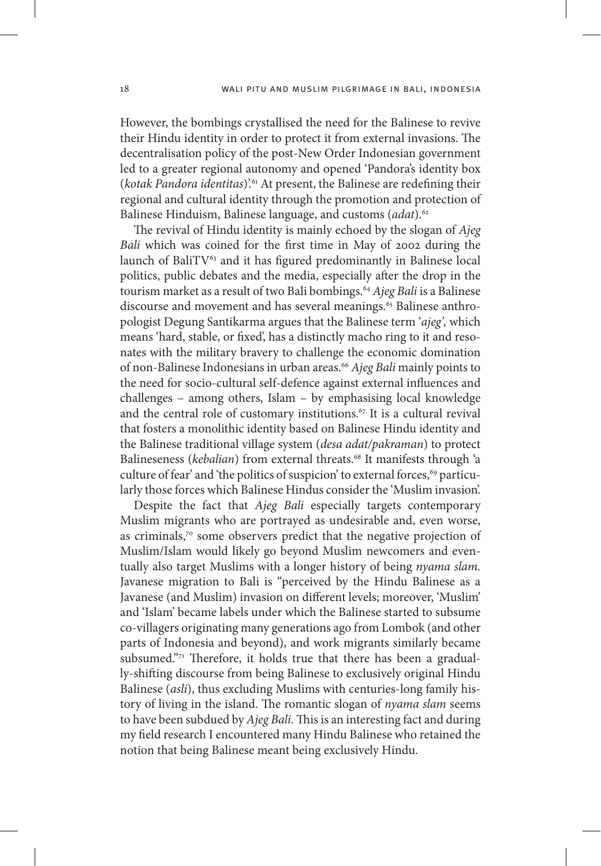However, the bombings crystallised the need for the Balinese to revive their Hindu identity in order to protect it from external invasions. The decentralisation policy of the post-New Order Indonesian government led to a greater regional autonomy and opened 'Pandora's identity box (*kotak Pandora identitas*)'.61 At present, the Balinese are redefining their regional and cultural identity through the promotion and protection of Balinese Hinduism, Balinese language, and customs (*adat*).62

The revival of Hindu identity is mainly echoed by the slogan of *Ajeg Bali* which was coined for the first time in May of 2002 during the launch of Bali $TV^{63}$  and it has figured predominantly in Balinese local politics, public debates and the media, especially after the drop in the tourism market as a result of two Bali bombings.64 *Ajeg Bali* is a Balinese discourse and movement and has several meanings.<sup>65</sup> Balinese anthropologist Degung Santikarma argues that the Balinese term '*ajeg',* which means 'hard, stable, or fixed', has a distinctly macho ring to it and resonates with the military bravery to challenge the economic domination of non-Balinese Indonesians in urban areas.66 *Ajeg Bali* mainly points to the need for socio-cultural self-defence against external influences and challenges – among others, Islam – by emphasising local knowledge and the central role of customary institutions.<sup>67</sup> It is a cultural revival that fosters a monolithic identity based on Balinese Hindu identity and the Balinese traditional village system (*desa adat/pakraman*) to protect Balineseness (*kebalian*) from external threats.<sup>68</sup> It manifests through 'a culture of fear' and 'the politics of suspicion' to external forces,<sup>69</sup> particularly those forces which Balinese Hindus consider the 'Muslim invasion'.

Despite the fact that *Ajeg Bali* especially targets contemporary Muslim migrants who are portrayed as undesirable and, even worse, as criminals, $7^\circ$  some observers predict that the negative projection of Muslim/Islam would likely go beyond Muslim newcomers and eventually also target Muslims with a longer history of being *nyama slam.*  Javanese migration to Bali is "perceived by the Hindu Balinese as a Javanese (and Muslim) invasion on different levels; moreover, 'Muslim' and 'Islam' became labels under which the Balinese started to subsume co-villagers originating many generations ago from Lombok (and other parts of Indonesia and beyond), and work migrants similarly became subsumed."<sup>71</sup> Therefore, it holds true that there has been a gradually-shifting discourse from being Balinese to exclusively original Hindu Balinese (*asli*), thus excluding Muslims with centuries-long family history of living in the island. The romantic slogan of *nyama slam* seems to have been subdued by *Ajeg Bali.* This is an interesting fact and during my field research I encountered many Hindu Balinese who retained the notion that being Balinese meant being exclusively Hindu.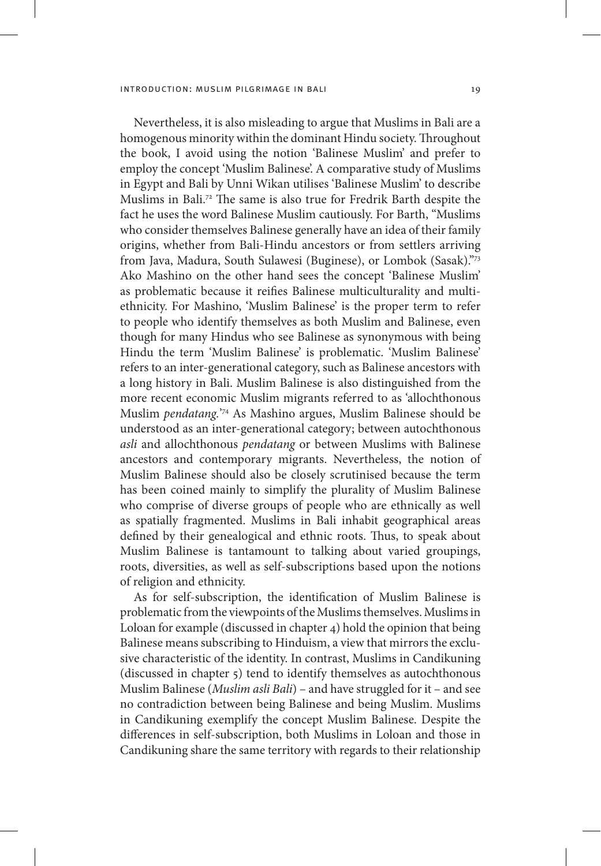Nevertheless, it is also misleading to argue that Muslims in Bali are a homogenous minority within the dominant Hindu society. Throughout the book, I avoid using the notion 'Balinese Muslim' and prefer to employ the concept 'Muslim Balinese'. A comparative study of Muslims in Egypt and Bali by Unni Wikan utilises 'Balinese Muslim' to describe Muslims in Bali.72 The same is also true for Fredrik Barth despite the fact he uses the word Balinese Muslim cautiously. For Barth, "Muslims who consider themselves Balinese generally have an idea of their family origins, whether from Bali-Hindu ancestors or from settlers arriving from Java, Madura, South Sulawesi (Buginese), or Lombok (Sasak)."73 Ako Mashino on the other hand sees the concept 'Balinese Muslim' as problematic because it reifies Balinese multiculturality and multiethnicity. For Mashino, 'Muslim Balinese' is the proper term to refer to people who identify themselves as both Muslim and Balinese, even though for many Hindus who see Balinese as synonymous with being Hindu the term 'Muslim Balinese' is problematic. 'Muslim Balinese' refers to an inter-generational category, such as Balinese ancestors with a long history in Bali. Muslim Balinese is also distinguished from the more recent economic Muslim migrants referred to as 'allochthonous Muslim *pendatang.*' 74 As Mashino argues, Muslim Balinese should be understood as an inter-generational category; between autochthonous *asli* and allochthonous *pendatang* or between Muslims with Balinese ancestors and contemporary migrants. Nevertheless, the notion of Muslim Balinese should also be closely scrutinised because the term has been coined mainly to simplify the plurality of Muslim Balinese who comprise of diverse groups of people who are ethnically as well as spatially fragmented. Muslims in Bali inhabit geographical areas defined by their genealogical and ethnic roots. Thus, to speak about Muslim Balinese is tantamount to talking about varied groupings, roots, diversities, as well as self-subscriptions based upon the notions of religion and ethnicity.

As for self-subscription, the identification of Muslim Balinese is problematic from the viewpoints of the Muslims themselves. Muslims in Loloan for example (discussed in chapter 4) hold the opinion that being Balinese means subscribing to Hinduism, a view that mirrors the exclusive characteristic of the identity. In contrast, Muslims in Candikuning (discussed in chapter 5) tend to identify themselves as autochthonous Muslim Balinese (*Muslim asli Bali*) – and have struggled for it – and see no contradiction between being Balinese and being Muslim. Muslims in Candikuning exemplify the concept Muslim Balinese. Despite the differences in self-subscription, both Muslims in Loloan and those in Candikuning share the same territory with regards to their relationship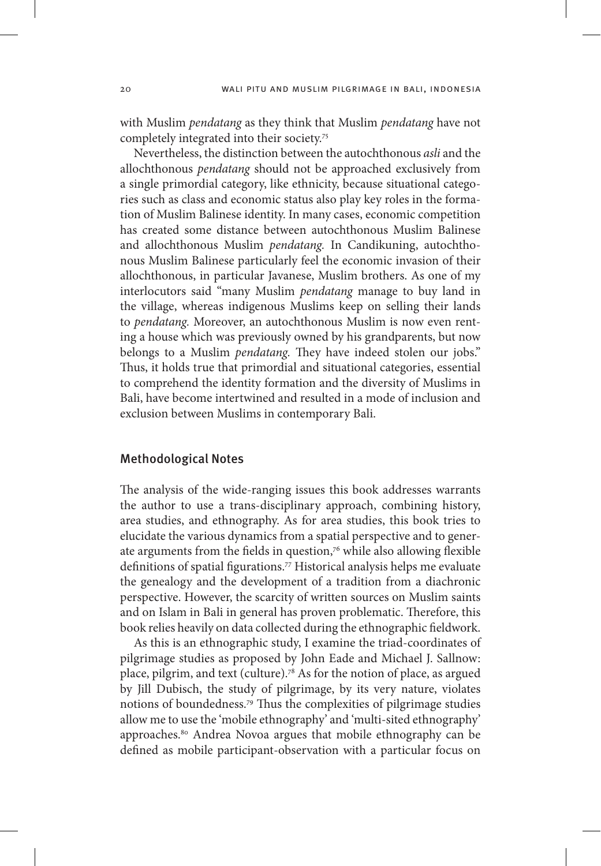with Muslim *pendatang* as they think that Muslim *pendatang* have not completely integrated into their society.75

Nevertheless, the distinction between the autochthonous *asli* and the allochthonous *pendatang* should not be approached exclusively from a single primordial category, like ethnicity, because situational categories such as class and economic status also play key roles in the formation of Muslim Balinese identity. In many cases, economic competition has created some distance between autochthonous Muslim Balinese and allochthonous Muslim *pendatang.* In Candikuning, autochthonous Muslim Balinese particularly feel the economic invasion of their allochthonous, in particular Javanese, Muslim brothers. As one of my interlocutors said "many Muslim *pendatang* manage to buy land in the village, whereas indigenous Muslims keep on selling their lands to *pendatang.* Moreover, an autochthonous Muslim is now even renting a house which was previously owned by his grandparents, but now belongs to a Muslim *pendatang.* They have indeed stolen our jobs." Thus, it holds true that primordial and situational categories, essential to comprehend the identity formation and the diversity of Muslims in Bali, have become intertwined and resulted in a mode of inclusion and exclusion between Muslims in contemporary Bali.

### Methodological Notes

The analysis of the wide-ranging issues this book addresses warrants the author to use a trans-disciplinary approach, combining history, area studies, and ethnography. As for area studies, this book tries to elucidate the various dynamics from a spatial perspective and to generate arguments from the fields in question,<sup>76</sup> while also allowing flexible definitions of spatial figurations.77 Historical analysis helps me evaluate the genealogy and the development of a tradition from a diachronic perspective. However, the scarcity of written sources on Muslim saints and on Islam in Bali in general has proven problematic. Therefore, this book relies heavily on data collected during the ethnographic fieldwork.

As this is an ethnographic study, I examine the triad-coordinates of pilgrimage studies as proposed by John Eade and Michael J. Sallnow: place, pilgrim, and text (culture).78 As for the notion of place, as argued by Jill Dubisch, the study of pilgrimage, by its very nature, violates notions of boundedness.79 Thus the complexities of pilgrimage studies allow me to use the 'mobile ethnography' and 'multi-sited ethnography' approaches.80 Andrea Novoa argues that mobile ethnography can be defined as mobile participant-observation with a particular focus on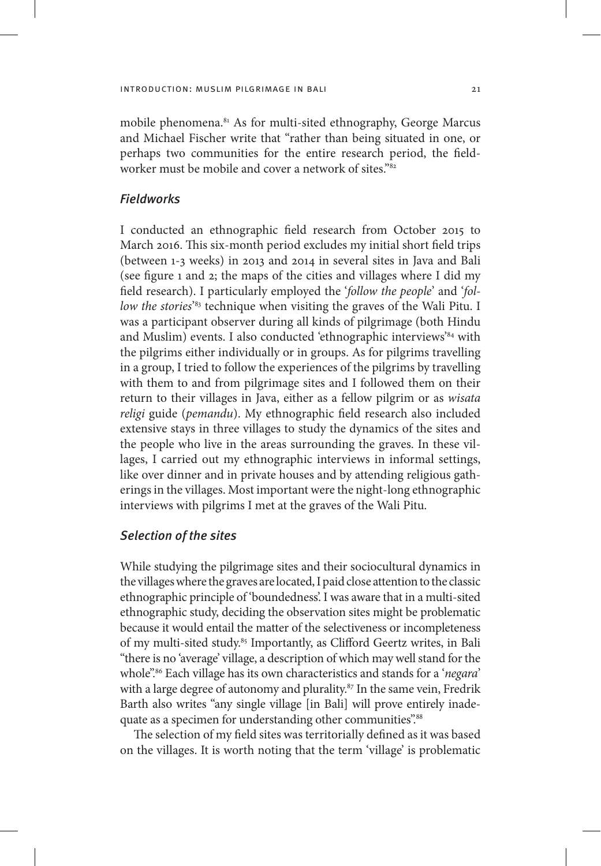mobile phenomena.81 As for multi-sited ethnography, George Marcus and Michael Fischer write that "rather than being situated in one, or perhaps two communities for the entire research period, the fieldworker must be mobile and cover a network of sites."<sup>82</sup>

# Fieldworks

I conducted an ethnographic field research from October 2015 to March 2016. This six-month period excludes my initial short field trips (between 1-3 weeks) in 2013 and 2014 in several sites in Java and Bali (see figure 1 and 2; the maps of the cities and villages where I did my field research). I particularly employed the '*follow the people*' and '*follow the stories*' 83 technique when visiting the graves of the Wali Pitu. I was a participant observer during all kinds of pilgrimage (both Hindu and Muslim) events. I also conducted 'ethnographic interviews'<sup>84</sup> with the pilgrims either individually or in groups. As for pilgrims travelling in a group, I tried to follow the experiences of the pilgrims by travelling with them to and from pilgrimage sites and I followed them on their return to their villages in Java, either as a fellow pilgrim or as *wisata religi* guide (*pemandu*). My ethnographic field research also included extensive stays in three villages to study the dynamics of the sites and the people who live in the areas surrounding the graves. In these villages, I carried out my ethnographic interviews in informal settings, like over dinner and in private houses and by attending religious gatherings in the villages. Most important were the night-long ethnographic interviews with pilgrims I met at the graves of the Wali Pitu.

## Selection of the sites

While studying the pilgrimage sites and their sociocultural dynamics in the villages where the graves are located, I paid close attention to the classic ethnographic principle of 'boundedness'. I was aware that in a multi-sited ethnographic study, deciding the observation sites might be problematic because it would entail the matter of the selectiveness or incompleteness of my multi-sited study.<sup>85</sup> Importantly, as Clifford Geertz writes, in Bali "there is no 'average' village, a description of which may well stand for the whole".86 Each village has its own characteristics and stands for a '*negara*' with a large degree of autonomy and plurality.<sup>87</sup> In the same vein, Fredrik Barth also writes "any single village [in Bali] will prove entirely inadequate as a specimen for understanding other communities".<sup>88</sup>

The selection of my field sites was territorially defined as it was based on the villages. It is worth noting that the term 'village' is problematic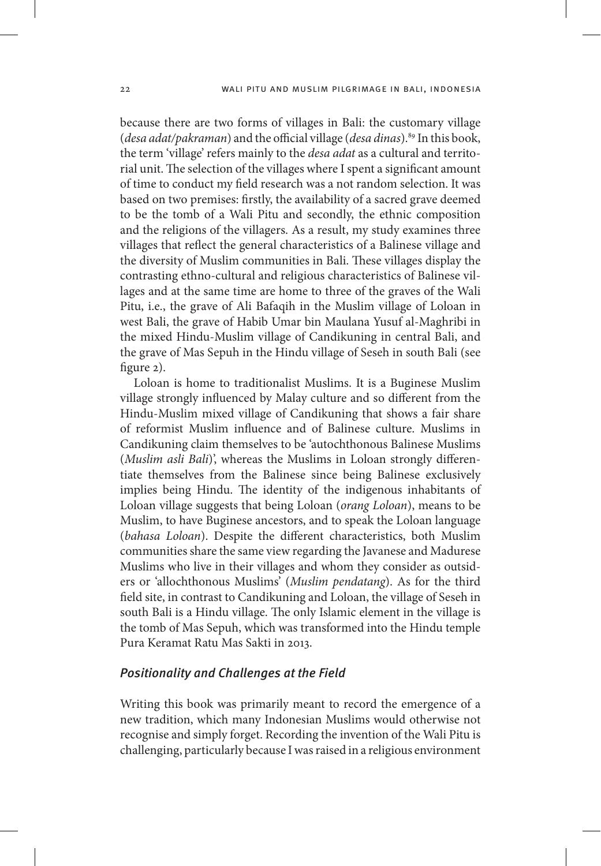because there are two forms of villages in Bali: the customary village (*desa adat*/pakraman) and the official village (*desa dinas*).<sup>89</sup> In this book, the term 'village' refers mainly to the *desa adat* as a cultural and territorial unit. The selection of the villages where I spent a significant amount of time to conduct my field research was a not random selection. It was based on two premises: firstly, the availability of a sacred grave deemed to be the tomb of a Wali Pitu and secondly, the ethnic composition and the religions of the villagers. As a result, my study examines three villages that reflect the general characteristics of a Balinese village and the diversity of Muslim communities in Bali. These villages display the contrasting ethno-cultural and religious characteristics of Balinese villages and at the same time are home to three of the graves of the Wali Pitu, i.e., the grave of Ali Bafaqih in the Muslim village of Loloan in west Bali, the grave of Habib Umar bin Maulana Yusuf al-Maghribi in the mixed Hindu-Muslim village of Candikuning in central Bali, and the grave of Mas Sepuh in the Hindu village of Seseh in south Bali (see figure 2).

Loloan is home to traditionalist Muslims. It is a Buginese Muslim village strongly influenced by Malay culture and so different from the Hindu-Muslim mixed village of Candikuning that shows a fair share of reformist Muslim influence and of Balinese culture. Muslims in Candikuning claim themselves to be 'autochthonous Balinese Muslims (*Muslim asli Bali*)', whereas the Muslims in Loloan strongly differentiate themselves from the Balinese since being Balinese exclusively implies being Hindu. The identity of the indigenous inhabitants of Loloan village suggests that being Loloan (*orang Loloan*), means to be Muslim, to have Buginese ancestors, and to speak the Loloan language (*bahasa Loloan*). Despite the different characteristics, both Muslim communities share the same view regarding the Javanese and Madurese Muslims who live in their villages and whom they consider as outsiders or 'allochthonous Muslims' (*Muslim pendatang*). As for the third field site, in contrast to Candikuning and Loloan, the village of Seseh in south Bali is a Hindu village. The only Islamic element in the village is the tomb of Mas Sepuh, which was transformed into the Hindu temple Pura Keramat Ratu Mas Sakti in 2013.

### Positionality and Challenges at the Field

Writing this book was primarily meant to record the emergence of a new tradition, which many Indonesian Muslims would otherwise not recognise and simply forget. Recording the invention of the Wali Pitu is challenging, particularly because I was raised in a religious environment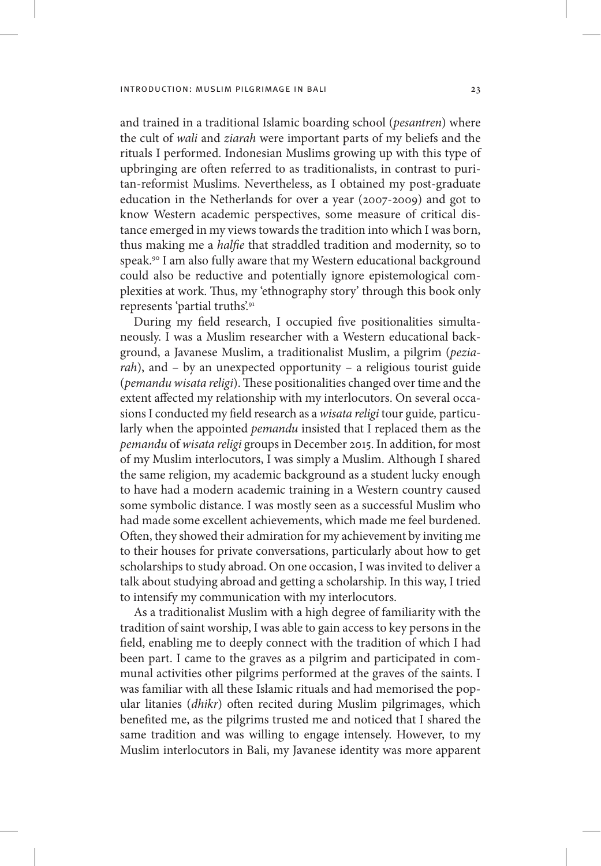and trained in a traditional Islamic boarding school (*pesantren*) where the cult of *wali* and *ziarah* were important parts of my beliefs and the rituals I performed. Indonesian Muslims growing up with this type of upbringing are often referred to as traditionalists, in contrast to puritan-reformist Muslims. Nevertheless, as I obtained my post-graduate education in the Netherlands for over a year (2007-2009) and got to know Western academic perspectives, some measure of critical distance emerged in my views towards the tradition into which I was born, thus making me a *halfie* that straddled tradition and modernity, so to speak.90 I am also fully aware that my Western educational background could also be reductive and potentially ignore epistemological complexities at work. Thus, my 'ethnography story' through this book only represents 'partial truths'.91

During my field research, I occupied five positionalities simultaneously. I was a Muslim researcher with a Western educational background, a Javanese Muslim, a traditionalist Muslim, a pilgrim (*peziarah*), and – by an unexpected opportunity – a religious tourist guide (*pemandu wisata religi*). These positionalities changed over time and the extent affected my relationship with my interlocutors. On several occasions I conducted my field research as a *wisata religi* tour guide*,* particularly when the appointed *pemandu* insisted that I replaced them as the *pemandu* of *wisata religi* groups in December 2015. In addition, for most of my Muslim interlocutors, I was simply a Muslim. Although I shared the same religion, my academic background as a student lucky enough to have had a modern academic training in a Western country caused some symbolic distance. I was mostly seen as a successful Muslim who had made some excellent achievements, which made me feel burdened. Often, they showed their admiration for my achievement by inviting me to their houses for private conversations, particularly about how to get scholarships to study abroad. On one occasion, I was invited to deliver a talk about studying abroad and getting a scholarship. In this way, I tried to intensify my communication with my interlocutors.

As a traditionalist Muslim with a high degree of familiarity with the tradition of saint worship, I was able to gain access to key persons in the field, enabling me to deeply connect with the tradition of which I had been part. I came to the graves as a pilgrim and participated in communal activities other pilgrims performed at the graves of the saints. I was familiar with all these Islamic rituals and had memorised the popular litanies (*dhikr*) often recited during Muslim pilgrimages, which benefited me, as the pilgrims trusted me and noticed that I shared the same tradition and was willing to engage intensely. However, to my Muslim interlocutors in Bali, my Javanese identity was more apparent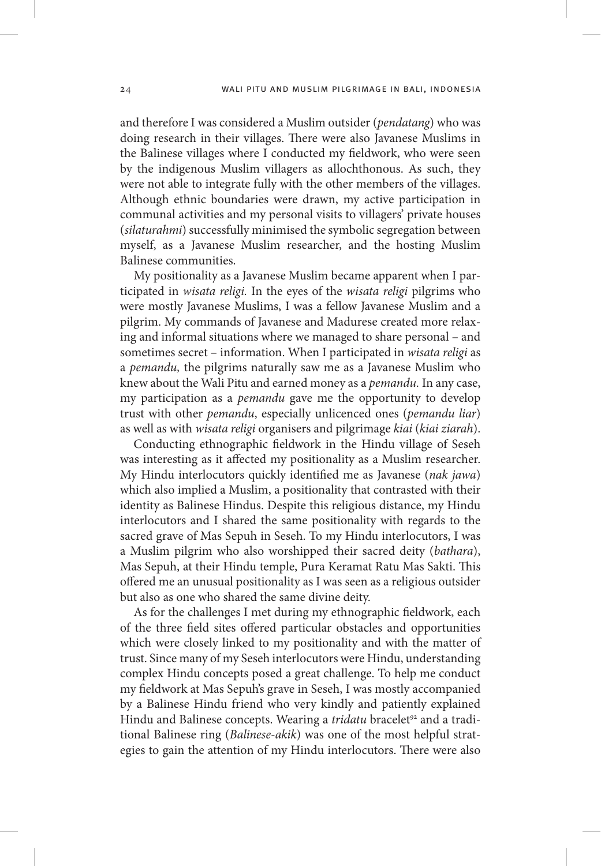and therefore I was considered a Muslim outsider (*pendatang*) who was doing research in their villages. There were also Javanese Muslims in the Balinese villages where I conducted my fieldwork, who were seen by the indigenous Muslim villagers as allochthonous. As such, they were not able to integrate fully with the other members of the villages. Although ethnic boundaries were drawn, my active participation in communal activities and my personal visits to villagers' private houses (*silaturahmi*) successfully minimised the symbolic segregation between myself, as a Javanese Muslim researcher, and the hosting Muslim Balinese communities.

My positionality as a Javanese Muslim became apparent when I participated in *wisata religi.* In the eyes of the *wisata religi* pilgrims who were mostly Javanese Muslims, I was a fellow Javanese Muslim and a pilgrim. My commands of Javanese and Madurese created more relaxing and informal situations where we managed to share personal – and sometimes secret – information. When I participated in *wisata religi* as a *pemandu,* the pilgrims naturally saw me as a Javanese Muslim who knew about the Wali Pitu and earned money as a *pemandu.* In any case, my participation as a *pemandu* gave me the opportunity to develop trust with other *pemandu*, especially unlicenced ones (*pemandu liar*) as well as with *wisata religi* organisers and pilgrimage *kiai* (*kiai ziarah*).

Conducting ethnographic fieldwork in the Hindu village of Seseh was interesting as it affected my positionality as a Muslim researcher. My Hindu interlocutors quickly identified me as Javanese (*nak jawa*) which also implied a Muslim, a positionality that contrasted with their identity as Balinese Hindus. Despite this religious distance, my Hindu interlocutors and I shared the same positionality with regards to the sacred grave of Mas Sepuh in Seseh. To my Hindu interlocutors, I was a Muslim pilgrim who also worshipped their sacred deity (*bathara*), Mas Sepuh, at their Hindu temple, Pura Keramat Ratu Mas Sakti. This offered me an unusual positionality as I was seen as a religious outsider but also as one who shared the same divine deity.

As for the challenges I met during my ethnographic fieldwork, each of the three field sites offered particular obstacles and opportunities which were closely linked to my positionality and with the matter of trust. Since many of my Seseh interlocutors were Hindu, understanding complex Hindu concepts posed a great challenge. To help me conduct my fieldwork at Mas Sepuh's grave in Seseh, I was mostly accompanied by a Balinese Hindu friend who very kindly and patiently explained Hindu and Balinese concepts. Wearing a *tridatu* bracelet<sup>92</sup> and a traditional Balinese ring (*Balinese-akik*) was one of the most helpful strategies to gain the attention of my Hindu interlocutors. There were also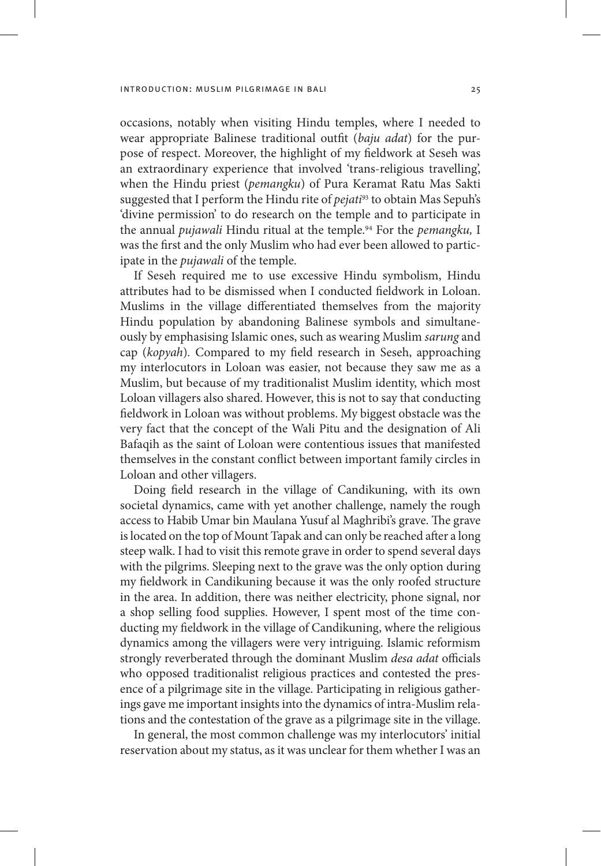occasions, notably when visiting Hindu temples, where I needed to wear appropriate Balinese traditional outfit (*baju adat*) for the purpose of respect. Moreover, the highlight of my fieldwork at Seseh was an extraordinary experience that involved 'trans-religious travelling', when the Hindu priest (*pemangku*) of Pura Keramat Ratu Mas Sakti suggested that I perform the Hindu rite of *pejati*<sup>93</sup> to obtain Mas Sepuh's 'divine permission' to do research on the temple and to participate in the annual *pujawali* Hindu ritual at the temple.94 For the *pemangku,* I was the first and the only Muslim who had ever been allowed to participate in the *pujawali* of the temple.

If Seseh required me to use excessive Hindu symbolism, Hindu attributes had to be dismissed when I conducted fieldwork in Loloan. Muslims in the village differentiated themselves from the majority Hindu population by abandoning Balinese symbols and simultaneously by emphasising Islamic ones, such as wearing Muslim *sarung* and cap (*kopyah*)*.* Compared to my field research in Seseh, approaching my interlocutors in Loloan was easier, not because they saw me as a Muslim, but because of my traditionalist Muslim identity, which most Loloan villagers also shared. However, this is not to say that conducting fieldwork in Loloan was without problems. My biggest obstacle was the very fact that the concept of the Wali Pitu and the designation of Ali Bafaqih as the saint of Loloan were contentious issues that manifested themselves in the constant conflict between important family circles in Loloan and other villagers.

Doing field research in the village of Candikuning, with its own societal dynamics, came with yet another challenge, namely the rough access to Habib Umar bin Maulana Yusuf al Maghribi's grave. The grave is located on the top of Mount Tapak and can only be reached after a long steep walk. I had to visit this remote grave in order to spend several days with the pilgrims. Sleeping next to the grave was the only option during my fieldwork in Candikuning because it was the only roofed structure in the area. In addition, there was neither electricity, phone signal, nor a shop selling food supplies. However, I spent most of the time conducting my fieldwork in the village of Candikuning, where the religious dynamics among the villagers were very intriguing. Islamic reformism strongly reverberated through the dominant Muslim *desa adat* officials who opposed traditionalist religious practices and contested the presence of a pilgrimage site in the village. Participating in religious gatherings gave me important insights into the dynamics of intra-Muslim relations and the contestation of the grave as a pilgrimage site in the village.

In general, the most common challenge was my interlocutors' initial reservation about my status, as it was unclear for them whether I was an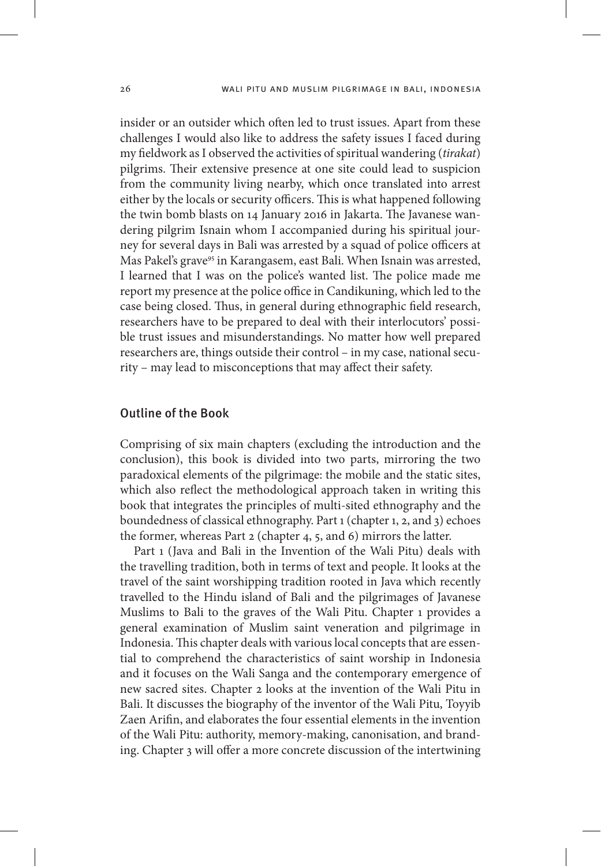insider or an outsider which often led to trust issues. Apart from these challenges I would also like to address the safety issues I faced during my fieldwork as I observed the activities of spiritual wandering (*tirakat*) pilgrims. Their extensive presence at one site could lead to suspicion from the community living nearby, which once translated into arrest either by the locals or security officers. This is what happened following the twin bomb blasts on 14 January 2016 in Jakarta. The Javanese wandering pilgrim Isnain whom I accompanied during his spiritual journey for several days in Bali was arrested by a squad of police officers at Mas Pakel's grave<sup>95</sup> in Karangasem, east Bali. When Isnain was arrested, I learned that I was on the police's wanted list. The police made me report my presence at the police office in Candikuning, which led to the case being closed. Thus, in general during ethnographic field research, researchers have to be prepared to deal with their interlocutors' possible trust issues and misunderstandings. No matter how well prepared researchers are, things outside their control – in my case, national security – may lead to misconceptions that may affect their safety.

## Outline of the Book

Comprising of six main chapters (excluding the introduction and the conclusion), this book is divided into two parts, mirroring the two paradoxical elements of the pilgrimage: the mobile and the static sites, which also reflect the methodological approach taken in writing this book that integrates the principles of multi-sited ethnography and the boundedness of classical ethnography. Part 1 (chapter 1, 2, and 3) echoes the former, whereas Part 2 (chapter 4, 5, and 6) mirrors the latter.

Part 1 (Java and Bali in the Invention of the Wali Pitu) deals with the travelling tradition, both in terms of text and people. It looks at the travel of the saint worshipping tradition rooted in Java which recently travelled to the Hindu island of Bali and the pilgrimages of Javanese Muslims to Bali to the graves of the Wali Pitu. Chapter 1 provides a general examination of Muslim saint veneration and pilgrimage in Indonesia. This chapter deals with various local concepts that are essential to comprehend the characteristics of saint worship in Indonesia and it focuses on the Wali Sanga and the contemporary emergence of new sacred sites. Chapter 2 looks at the invention of the Wali Pitu in Bali. It discusses the biography of the inventor of the Wali Pitu, Toyyib Zaen Arifin, and elaborates the four essential elements in the invention of the Wali Pitu: authority, memory-making, canonisation, and branding. Chapter 3 will offer a more concrete discussion of the intertwining